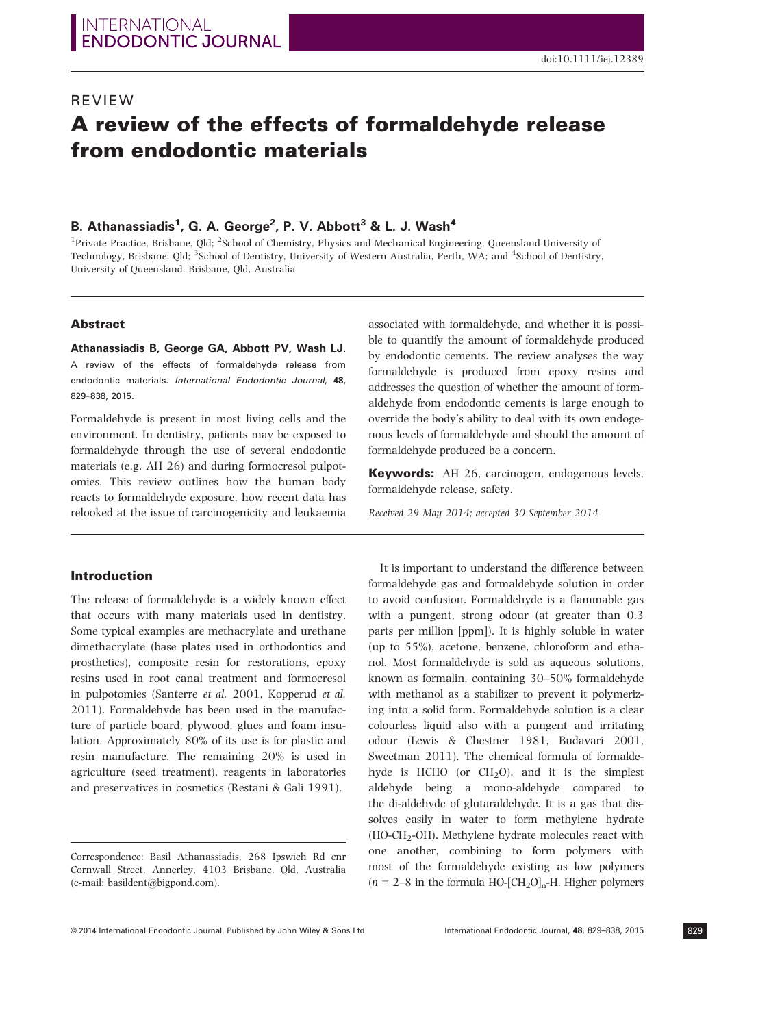# REVIEW A review of the effects of formaldehyde release from endodontic materials

## B. Athanassiadis<sup>1</sup>, G. A. George<sup>2</sup>, P. V. Abbott<sup>3</sup> & L. J. Wash<sup>4</sup>

<sup>1</sup>Private Practice, Brisbane, Qld; <sup>2</sup>School of Chemistry, Physics and Mechanical Engineering, Queensland University of Technology, Brisbane, Qld; <sup>3</sup>School of Dentistry, University of Western Australia, Perth, WA; and <sup>4</sup>School of Dentistry, University of Queensland, Brisbane, Qld, Australia

#### Abstract

Athanassiadis B, George GA, Abbott PV, Wash LJ. A review of the effects of formaldehyde release from endodontic materials. International Endodontic Journal, 48, 829–838, 2015.

Formaldehyde is present in most living cells and the environment. In dentistry, patients may be exposed to formaldehyde through the use of several endodontic materials (e.g. AH 26) and during formocresol pulpotomies. This review outlines how the human body reacts to formaldehyde exposure, how recent data has relooked at the issue of carcinogenicity and leukaemia

## Introduction

The release of formaldehyde is a widely known effect that occurs with many materials used in dentistry. Some typical examples are methacrylate and urethane dimethacrylate (base plates used in orthodontics and prosthetics), composite resin for restorations, epoxy resins used in root canal treatment and formocresol in pulpotomies (Santerre et al. 2001, Kopperud et al. 2011). Formaldehyde has been used in the manufacture of particle board, plywood, glues and foam insulation. Approximately 80% of its use is for plastic and resin manufacture. The remaining 20% is used in agriculture (seed treatment), reagents in laboratories and preservatives in cosmetics (Restani & Gali 1991).

associated with formaldehyde, and whether it is possible to quantify the amount of formaldehyde produced by endodontic cements. The review analyses the way formaldehyde is produced from epoxy resins and addresses the question of whether the amount of formaldehyde from endodontic cements is large enough to override the body's ability to deal with its own endogenous levels of formaldehyde and should the amount of formaldehyde produced be a concern.

Keywords: AH 26, carcinogen, endogenous levels, formaldehyde release, safety.

Received 29 May 2014; accepted 30 September 2014

It is important to understand the difference between formaldehyde gas and formaldehyde solution in order to avoid confusion. Formaldehyde is a flammable gas with a pungent, strong odour (at greater than 0.3 parts per million [ppm]). It is highly soluble in water (up to 55%), acetone, benzene, chloroform and ethanol. Most formaldehyde is sold as aqueous solutions, known as formalin, containing 30–50% formaldehyde with methanol as a stabilizer to prevent it polymerizing into a solid form. Formaldehyde solution is a clear colourless liquid also with a pungent and irritating odour (Lewis & Chestner 1981, Budavari 2001, Sweetman 2011). The chemical formula of formaldehyde is HCHO (or  $CH<sub>2</sub>O$ ), and it is the simplest aldehyde being a mono-aldehyde compared to the di-aldehyde of glutaraldehyde. It is a gas that dissolves easily in water to form methylene hydrate (HO-CH2-OH). Methylene hydrate molecules react with one another, combining to form polymers with most of the formaldehyde existing as low polymers  $(n = 2-8$  in the formula HO-[CH<sub>2</sub>O]<sub>n</sub>-H. Higher polymers

Correspondence: Basil Athanassiadis, 268 Ipswich Rd cnr Cornwall Street, Annerley, 4103 Brisbane, Qld, Australia (e-mail: basildent@bigpond.com).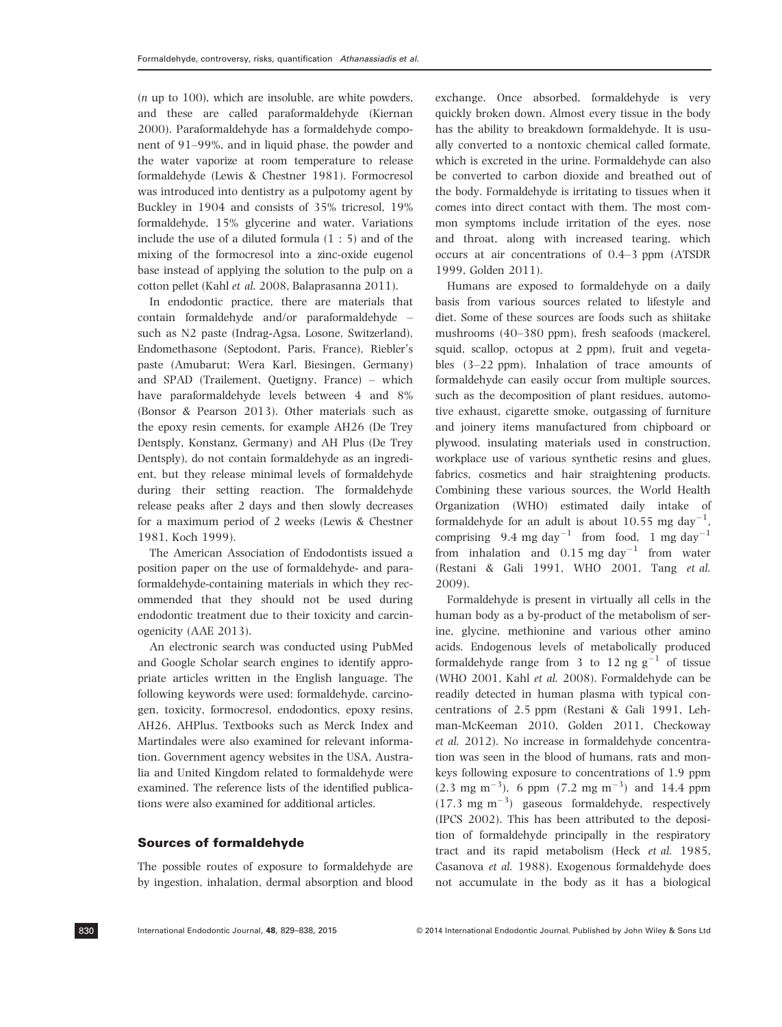(n up to 100), which are insoluble, are white powders, and these are called paraformaldehyde (Kiernan 2000). Paraformaldehyde has a formaldehyde component of 91–99%, and in liquid phase, the powder and the water vaporize at room temperature to release formaldehyde (Lewis & Chestner 1981). Formocresol was introduced into dentistry as a pulpotomy agent by Buckley in 1904 and consists of 35% tricresol, 19% formaldehyde, 15% glycerine and water. Variations include the use of a diluted formula (1 : 5) and of the mixing of the formocresol into a zinc-oxide eugenol base instead of applying the solution to the pulp on a cotton pellet (Kahl et al. 2008, Balaprasanna 2011).

In endodontic practice, there are materials that contain formaldehyde and/or paraformaldehyde – such as N2 paste (Indrag-Agsa, Losone, Switzerland), Endomethasone (Septodont, Paris, France), Riebler's paste (Amubarut; Wera Karl, Biesingen, Germany) and SPAD (Trailement, Quetigny, France) – which have paraformaldehyde levels between 4 and 8% (Bonsor & Pearson 2013). Other materials such as the epoxy resin cements, for example AH26 (De Trey Dentsply, Konstanz, Germany) and AH Plus (De Trey Dentsply), do not contain formaldehyde as an ingredient, but they release minimal levels of formaldehyde during their setting reaction. The formaldehyde release peaks after 2 days and then slowly decreases for a maximum period of 2 weeks (Lewis & Chestner 1981, Koch 1999).

The American Association of Endodontists issued a position paper on the use of formaldehyde- and paraformaldehyde-containing materials in which they recommended that they should not be used during endodontic treatment due to their toxicity and carcinogenicity (AAE 2013).

An electronic search was conducted using PubMed and Google Scholar search engines to identify appropriate articles written in the English language. The following keywords were used: formaldehyde, carcinogen, toxicity, formocresol, endodontics, epoxy resins, AH26, AHPlus. Textbooks such as Merck Index and Martindales were also examined for relevant information. Government agency websites in the USA, Australia and United Kingdom related to formaldehyde were examined. The reference lists of the identified publications were also examined for additional articles.

#### Sources of formaldehyde

The possible routes of exposure to formaldehyde are by ingestion, inhalation, dermal absorption and blood exchange. Once absorbed, formaldehyde is very quickly broken down. Almost every tissue in the body has the ability to breakdown formaldehyde. It is usually converted to a nontoxic chemical called formate, which is excreted in the urine. Formaldehyde can also be converted to carbon dioxide and breathed out of the body. Formaldehyde is irritating to tissues when it comes into direct contact with them. The most common symptoms include irritation of the eyes, nose and throat, along with increased tearing, which occurs at air concentrations of 0.4–3 ppm (ATSDR 1999, Golden 2011).

Humans are exposed to formaldehyde on a daily basis from various sources related to lifestyle and diet. Some of these sources are foods such as shiitake mushrooms (40–380 ppm), fresh seafoods (mackerel, squid, scallop, octopus at 2 ppm), fruit and vegetables (3–22 ppm). Inhalation of trace amounts of formaldehyde can easily occur from multiple sources, such as the decomposition of plant residues, automotive exhaust, cigarette smoke, outgassing of furniture and joinery items manufactured from chipboard or plywood, insulating materials used in construction, workplace use of various synthetic resins and glues, fabrics, cosmetics and hair straightening products. Combining these various sources, the World Health Organization (WHO) estimated daily intake of formaldehyde for an adult is about 10.55 mg day<sup>-1</sup>, comprising 9.4 mg day<sup>-1</sup> from food, 1 mg day<sup>-1</sup> from inhalation and  $0.15$  mg day<sup>-1</sup> from water (Restani & Gali 1991, WHO 2001, Tang et al. 2009).

Formaldehyde is present in virtually all cells in the human body as a by-product of the metabolism of serine, glycine, methionine and various other amino acids. Endogenous levels of metabolically produced formaldehyde range from 3 to 12 ng  $g^{-1}$  of tissue (WHO 2001, Kahl et al. 2008). Formaldehyde can be readily detected in human plasma with typical concentrations of 2.5 ppm (Restani & Gali 1991, Lehman-McKeeman 2010, Golden 2011, Checkoway et al. 2012). No increase in formaldehyde concentration was seen in the blood of humans, rats and monkeys following exposure to concentrations of 1.9 ppm  $(2.3 \text{ mg m}^{-3})$ , 6 ppm  $(7.2 \text{ mg m}^{-3})$  and 14.4 ppm  $(17.3 \text{ mg m}^{-3})$  gaseous formaldehyde, respectively (IPCS 2002). This has been attributed to the deposition of formaldehyde principally in the respiratory tract and its rapid metabolism (Heck et al. 1985, Casanova et al. 1988). Exogenous formaldehyde does not accumulate in the body as it has a biological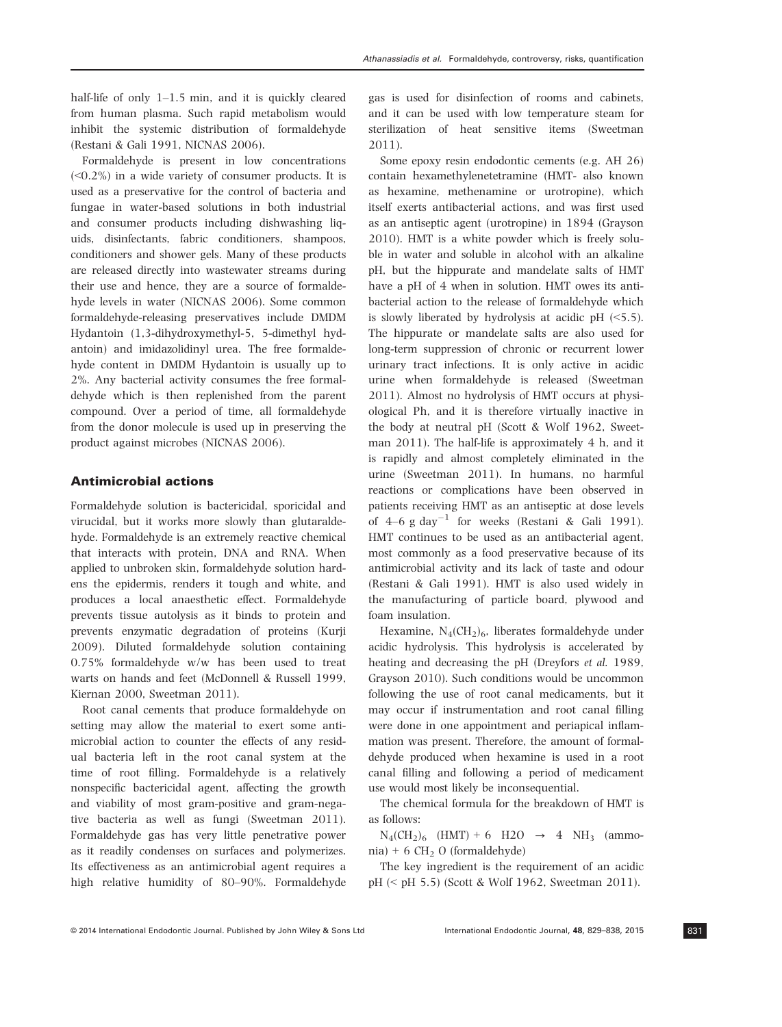half-life of only 1-1.5 min, and it is quickly cleared from human plasma. Such rapid metabolism would inhibit the systemic distribution of formaldehyde (Restani & Gali 1991, NICNAS 2006).

Formaldehyde is present in low concentrations  $(<0.2\%)$  in a wide variety of consumer products. It is used as a preservative for the control of bacteria and fungae in water-based solutions in both industrial and consumer products including dishwashing liquids, disinfectants, fabric conditioners, shampoos, conditioners and shower gels. Many of these products are released directly into wastewater streams during their use and hence, they are a source of formaldehyde levels in water (NICNAS 2006). Some common formaldehyde-releasing preservatives include DMDM Hydantoin (1,3-dihydroxymethyl-5, 5-dimethyl hydantoin) and imidazolidinyl urea. The free formaldehyde content in DMDM Hydantoin is usually up to 2%. Any bacterial activity consumes the free formaldehyde which is then replenished from the parent compound. Over a period of time, all formaldehyde from the donor molecule is used up in preserving the product against microbes (NICNAS 2006).

#### Antimicrobial actions

Formaldehyde solution is bactericidal, sporicidal and virucidal, but it works more slowly than glutaraldehyde. Formaldehyde is an extremely reactive chemical that interacts with protein, DNA and RNA. When applied to unbroken skin, formaldehyde solution hardens the epidermis, renders it tough and white, and produces a local anaesthetic effect. Formaldehyde prevents tissue autolysis as it binds to protein and prevents enzymatic degradation of proteins (Kurji 2009). Diluted formaldehyde solution containing 0.75% formaldehyde w/w has been used to treat warts on hands and feet (McDonnell & Russell 1999, Kiernan 2000, Sweetman 2011).

Root canal cements that produce formaldehyde on setting may allow the material to exert some antimicrobial action to counter the effects of any residual bacteria left in the root canal system at the time of root filling. Formaldehyde is a relatively nonspecific bactericidal agent, affecting the growth and viability of most gram-positive and gram-negative bacteria as well as fungi (Sweetman 2011). Formaldehyde gas has very little penetrative power as it readily condenses on surfaces and polymerizes. Its effectiveness as an antimicrobial agent requires a high relative humidity of 80–90%. Formaldehyde gas is used for disinfection of rooms and cabinets, and it can be used with low temperature steam for sterilization of heat sensitive items (Sweetman 2011).

Some epoxy resin endodontic cements (e.g. AH 26) contain hexamethylenetetramine (HMT- also known as hexamine, methenamine or urotropine), which itself exerts antibacterial actions, and was first used as an antiseptic agent (urotropine) in 1894 (Grayson 2010). HMT is a white powder which is freely soluble in water and soluble in alcohol with an alkaline pH, but the hippurate and mandelate salts of HMT have a pH of 4 when in solution. HMT owes its antibacterial action to the release of formaldehyde which is slowly liberated by hydrolysis at acidic pH  $(\leq 5.5)$ . The hippurate or mandelate salts are also used for long-term suppression of chronic or recurrent lower urinary tract infections. It is only active in acidic urine when formaldehyde is released (Sweetman 2011). Almost no hydrolysis of HMT occurs at physiological Ph, and it is therefore virtually inactive in the body at neutral pH (Scott & Wolf 1962, Sweetman 2011). The half-life is approximately 4 h, and it is rapidly and almost completely eliminated in the urine (Sweetman 2011). In humans, no harmful reactions or complications have been observed in patients receiving HMT as an antiseptic at dose levels of  $4-6$  g day<sup>-1</sup> for weeks (Restani & Gali 1991). HMT continues to be used as an antibacterial agent, most commonly as a food preservative because of its antimicrobial activity and its lack of taste and odour (Restani & Gali 1991). HMT is also used widely in the manufacturing of particle board, plywood and foam insulation.

Hexamine,  $N_4$ (CH<sub>2</sub>)<sub>6</sub>, liberates formaldehyde under acidic hydrolysis. This hydrolysis is accelerated by heating and decreasing the pH (Dreyfors et al. 1989, Grayson 2010). Such conditions would be uncommon following the use of root canal medicaments, but it may occur if instrumentation and root canal filling were done in one appointment and periapical inflammation was present. Therefore, the amount of formaldehyde produced when hexamine is used in a root canal filling and following a period of medicament use would most likely be inconsequential.

The chemical formula for the breakdown of HMT is as follows:

 $N_4(CH_2)_6$  (HMT) + 6 H2O  $\rightarrow$  4 NH<sub>3</sub> (ammonia) + 6 CH<sub>2</sub> O (formaldehyde)

The key ingredient is the requirement of an acidic pH (< pH 5.5) (Scott & Wolf 1962, Sweetman 2011).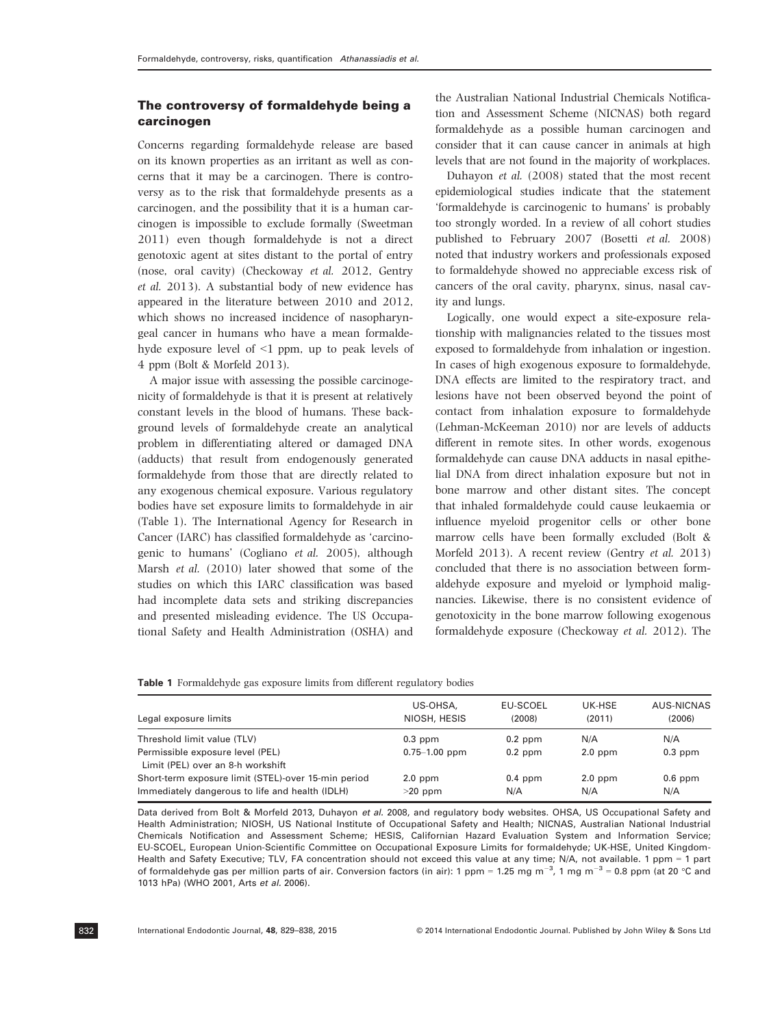## The controversy of formaldehyde being a carcinogen

Concerns regarding formaldehyde release are based on its known properties as an irritant as well as concerns that it may be a carcinogen. There is controversy as to the risk that formaldehyde presents as a carcinogen, and the possibility that it is a human carcinogen is impossible to exclude formally (Sweetman 2011) even though formaldehyde is not a direct genotoxic agent at sites distant to the portal of entry (nose, oral cavity) (Checkoway et al. 2012, Gentry et al. 2013). A substantial body of new evidence has appeared in the literature between 2010 and 2012, which shows no increased incidence of nasopharyngeal cancer in humans who have a mean formaldehyde exposure level of <1 ppm, up to peak levels of 4 ppm (Bolt & Morfeld 2013).

A major issue with assessing the possible carcinogenicity of formaldehyde is that it is present at relatively constant levels in the blood of humans. These background levels of formaldehyde create an analytical problem in differentiating altered or damaged DNA (adducts) that result from endogenously generated formaldehyde from those that are directly related to any exogenous chemical exposure. Various regulatory bodies have set exposure limits to formaldehyde in air (Table 1). The International Agency for Research in Cancer (IARC) has classified formaldehyde as 'carcinogenic to humans' (Cogliano et al. 2005), although Marsh et al. (2010) later showed that some of the studies on which this IARC classification was based had incomplete data sets and striking discrepancies and presented misleading evidence. The US Occupational Safety and Health Administration (OSHA) and

the Australian National Industrial Chemicals Notification and Assessment Scheme (NICNAS) both regard formaldehyde as a possible human carcinogen and consider that it can cause cancer in animals at high levels that are not found in the majority of workplaces.

Duhayon et al. (2008) stated that the most recent epidemiological studies indicate that the statement 'formaldehyde is carcinogenic to humans' is probably too strongly worded. In a review of all cohort studies published to February 2007 (Bosetti et al. 2008) noted that industry workers and professionals exposed to formaldehyde showed no appreciable excess risk of cancers of the oral cavity, pharynx, sinus, nasal cavity and lungs.

Logically, one would expect a site-exposure relationship with malignancies related to the tissues most exposed to formaldehyde from inhalation or ingestion. In cases of high exogenous exposure to formaldehyde, DNA effects are limited to the respiratory tract, and lesions have not been observed beyond the point of contact from inhalation exposure to formaldehyde (Lehman-McKeeman 2010) nor are levels of adducts different in remote sites. In other words, exogenous formaldehyde can cause DNA adducts in nasal epithelial DNA from direct inhalation exposure but not in bone marrow and other distant sites. The concept that inhaled formaldehyde could cause leukaemia or influence myeloid progenitor cells or other bone marrow cells have been formally excluded (Bolt & Morfeld 2013). A recent review (Gentry et al. 2013) concluded that there is no association between formaldehyde exposure and myeloid or lymphoid malignancies. Likewise, there is no consistent evidence of genotoxicity in the bone marrow following exogenous formaldehyde exposure (Checkoway et al. 2012). The

|  | <b>Table 1</b> Formaldehyde gas exposure limits from different regulatory bodies |  |  |  |  |  |
|--|----------------------------------------------------------------------------------|--|--|--|--|--|
|--|----------------------------------------------------------------------------------|--|--|--|--|--|

| Legal exposure limits                               | US-OHSA,<br>NIOSH, HESIS | <b>EU-SCOEL</b><br>(2008) | UK-HSE<br>(2011) | AUS-NICNAS<br>(2006) |
|-----------------------------------------------------|--------------------------|---------------------------|------------------|----------------------|
| Threshold limit value (TLV)                         | $0.3$ ppm                | $0.2$ ppm                 | N/A              | N/A                  |
| Permissible exposure level (PEL)                    | $0.75 - 1.00$ ppm        | $0.2$ ppm                 | $2.0$ ppm        | $0.3$ ppm            |
| Limit (PEL) over an 8-h workshift                   |                          |                           |                  |                      |
| Short-term exposure limit (STEL)-over 15-min period | $2.0$ ppm                | $0.4$ ppm                 | $2.0$ ppm        | $0.6$ ppm            |
| Immediately dangerous to life and health (IDLH)     | $>20$ ppm                | N/A                       | N/A              | N/A                  |

Data derived from Bolt & Morfeld 2013, Duhayon et al. 2008, and regulatory body websites. OHSA, US Occupational Safety and Health Administration; NIOSH, US National Institute of Occupational Safety and Health; NICNAS, Australian National Industrial Chemicals Notification and Assessment Scheme; HESIS, Californian Hazard Evaluation System and Information Service; EU-SCOEL, European Union-Scientific Committee on Occupational Exposure Limits for formaldehyde; UK-HSE, United Kingdom-Health and Safety Executive; TLV, FA concentration should not exceed this value at any time; N/A, not available. 1 ppm = 1 part of formaldehyde gas per million parts of air. Conversion factors (in air): 1 ppm = 1.25 mg m<sup>-3</sup>, 1 mg m<sup>-3</sup> = 0.8 ppm (at 20 °C and 1013 hPa) (WHO 2001, Arts et al. 2006).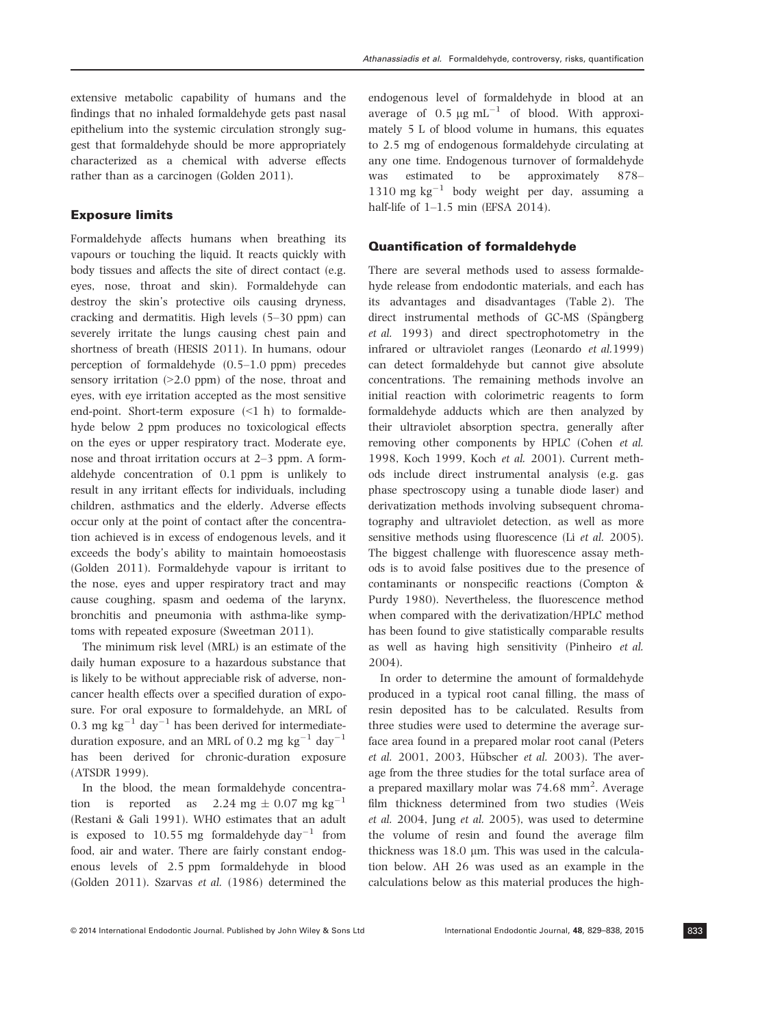extensive metabolic capability of humans and the findings that no inhaled formaldehyde gets past nasal epithelium into the systemic circulation strongly suggest that formaldehyde should be more appropriately characterized as a chemical with adverse effects rather than as a carcinogen (Golden 2011).

#### Exposure limits

Formaldehyde affects humans when breathing its vapours or touching the liquid. It reacts quickly with body tissues and affects the site of direct contact (e.g. eyes, nose, throat and skin). Formaldehyde can destroy the skin's protective oils causing dryness, cracking and dermatitis. High levels (5–30 ppm) can severely irritate the lungs causing chest pain and shortness of breath (HESIS 2011). In humans, odour perception of formaldehyde (0.5–1.0 ppm) precedes sensory irritation  $(>2.0$  ppm) of the nose, throat and eyes, with eye irritation accepted as the most sensitive end-point. Short-term exposure (<1 h) to formaldehyde below 2 ppm produces no toxicological effects on the eyes or upper respiratory tract. Moderate eye, nose and throat irritation occurs at 2–3 ppm. A formaldehyde concentration of 0.1 ppm is unlikely to result in any irritant effects for individuals, including children, asthmatics and the elderly. Adverse effects occur only at the point of contact after the concentration achieved is in excess of endogenous levels, and it exceeds the body's ability to maintain homoeostasis (Golden 2011). Formaldehyde vapour is irritant to the nose, eyes and upper respiratory tract and may cause coughing, spasm and oedema of the larynx, bronchitis and pneumonia with asthma-like symptoms with repeated exposure (Sweetman 2011).

The minimum risk level (MRL) is an estimate of the daily human exposure to a hazardous substance that is likely to be without appreciable risk of adverse, noncancer health effects over a specified duration of exposure. For oral exposure to formaldehyde, an MRL of 0.3 mg kg<sup>-1</sup> day<sup>-1</sup> has been derived for intermediateduration exposure, and an MRL of 0.2 mg kg<sup>-1</sup> day<sup>-1</sup> has been derived for chronic-duration exposure (ATSDR 1999).

In the blood, the mean formaldehyde concentration is reported as  $2.24 \text{ mg} \pm 0.07 \text{ mg kg}^{-1}$ (Restani & Gali 1991). WHO estimates that an adult is exposed to 10.55 mg formaldehyde day<sup>-1</sup> from food, air and water. There are fairly constant endogenous levels of 2.5 ppm formaldehyde in blood (Golden 2011). Szarvas et al. (1986) determined the endogenous level of formaldehyde in blood at an average of  $0.5 \mu g \text{ mL}^{-1}$  of blood. With approximately 5 L of blood volume in humans, this equates to 2.5 mg of endogenous formaldehyde circulating at any one time. Endogenous turnover of formaldehyde was estimated to be approximately 878– 1310 mg  $kg^{-1}$  body weight per day, assuming a half-life of 1–1.5 min (EFSA 2014).

#### Quantification of formaldehyde

There are several methods used to assess formaldehyde release from endodontic materials, and each has its advantages and disadvantages (Table 2). The direct instrumental methods of GC-MS (Spångberg) et al. 1993) and direct spectrophotometry in the infrared or ultraviolet ranges (Leonardo et al.1999) can detect formaldehyde but cannot give absolute concentrations. The remaining methods involve an initial reaction with colorimetric reagents to form formaldehyde adducts which are then analyzed by their ultraviolet absorption spectra, generally after removing other components by HPLC (Cohen et al. 1998, Koch 1999, Koch et al. 2001). Current methods include direct instrumental analysis (e.g. gas phase spectroscopy using a tunable diode laser) and derivatization methods involving subsequent chromatography and ultraviolet detection, as well as more sensitive methods using fluorescence (Li et al. 2005). The biggest challenge with fluorescence assay methods is to avoid false positives due to the presence of contaminants or nonspecific reactions (Compton & Purdy 1980). Nevertheless, the fluorescence method when compared with the derivatization/HPLC method has been found to give statistically comparable results as well as having high sensitivity (Pinheiro et al. 2004).

In order to determine the amount of formaldehyde produced in a typical root canal filling, the mass of resin deposited has to be calculated. Results from three studies were used to determine the average surface area found in a prepared molar root canal (Peters et al. 2001, 2003, Hübscher et al. 2003). The average from the three studies for the total surface area of a prepared maxillary molar was  $74.68$  mm<sup>2</sup>. Average film thickness determined from two studies (Weis et al. 2004, Jung et al. 2005), was used to determine the volume of resin and found the average film thickness was  $18.0 \mu m$ . This was used in the calculation below. AH 26 was used as an example in the calculations below as this material produces the high-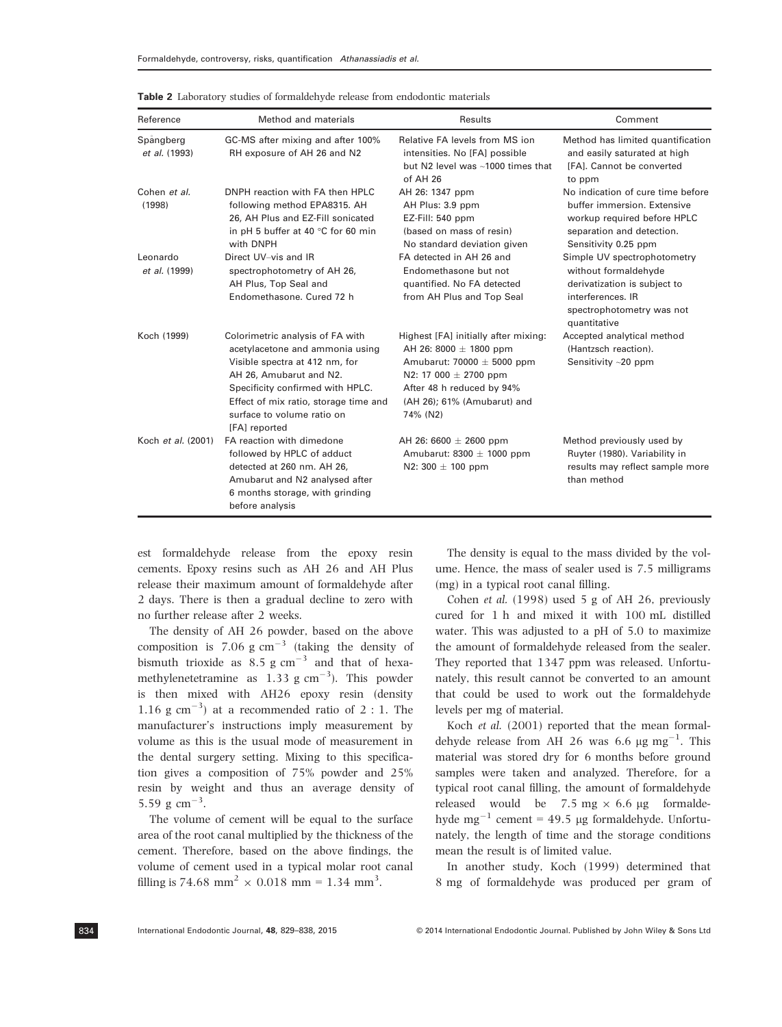| Reference                  | Method and materials                                                                                                                                                                                                                                         | Results                                                                                                                                                                                                   | Comment                                                                                                                                               |
|----------------------------|--------------------------------------------------------------------------------------------------------------------------------------------------------------------------------------------------------------------------------------------------------------|-----------------------------------------------------------------------------------------------------------------------------------------------------------------------------------------------------------|-------------------------------------------------------------------------------------------------------------------------------------------------------|
| Spångberg<br>et al. (1993) | GC-MS after mixing and after 100%<br>RH exposure of AH 26 and N2                                                                                                                                                                                             | Relative FA levels from MS ion<br>intensities. No [FA] possible<br>but N2 level was ~1000 times that<br>of AH 26                                                                                          | Method has limited quantification<br>and easily saturated at high<br>[FA]. Cannot be converted<br>to ppm                                              |
| Cohen et al.<br>(1998)     | DNPH reaction with FA then HPLC<br>following method EPA8315. AH<br>26, AH Plus and EZ-Fill sonicated<br>in pH 5 buffer at 40 $\degree$ C for 60 min<br>with DNPH                                                                                             | AH 26: 1347 ppm<br>AH Plus: 3.9 ppm<br>EZ-Fill: $540$ ppm<br>(based on mass of resin)<br>No standard deviation given                                                                                      | No indication of cure time before<br>buffer immersion. Extensive<br>workup required before HPLC<br>separation and detection.<br>Sensitivity 0.25 ppm  |
| Leonardo<br>et al. (1999)  | Direct UV-vis and IR<br>spectrophotometry of AH 26,<br>AH Plus, Top Seal and<br>Endomethasone, Cured 72 h                                                                                                                                                    | FA detected in AH 26 and<br>Endomethasone but not<br>quantified. No FA detected<br>from AH Plus and Top Seal                                                                                              | Simple UV spectrophotometry<br>without formaldehyde<br>derivatization is subject to<br>interferences. IR<br>spectrophotometry was not<br>quantitative |
| Koch (1999)                | Colorimetric analysis of FA with<br>acetylacetone and ammonia using<br>Visible spectra at 412 nm, for<br>AH 26, Amubarut and N2.<br>Specificity confirmed with HPLC.<br>Effect of mix ratio, storage time and<br>surface to volume ratio on<br>[FA] reported | Highest [FA] initially after mixing:<br>AH 26: 8000 $\pm$ 1800 ppm<br>Amubarut: 70000 $\pm$ 5000 ppm<br>N2: 17 000 $\pm$ 2700 ppm<br>After 48 h reduced by 94%<br>(AH 26); 61% (Amubarut) and<br>74% (N2) | Accepted analytical method<br>(Hantzsch reaction).<br>Sensitivity $\sim$ 20 ppm                                                                       |
| Koch et al. (2001)         | FA reaction with dimedone<br>followed by HPLC of adduct<br>detected at 260 nm. AH 26,<br>Amubarut and N2 analysed after<br>6 months storage, with grinding<br>before analysis                                                                                | AH 26: 6600 $\pm$ 2600 ppm<br>Amubarut: $8300 \pm 1000$ ppm<br>N2: 300 $\pm$ 100 ppm                                                                                                                      | Method previously used by<br>Ruyter (1980). Variability in<br>results may reflect sample more<br>than method                                          |

Table 2 Laboratory studies of formaldehyde release from endodontic materials

est formaldehyde release from the epoxy resin cements. Epoxy resins such as AH 26 and AH Plus release their maximum amount of formaldehyde after 2 days. There is then a gradual decline to zero with no further release after 2 weeks.

The density of AH 26 powder, based on the above composition is 7.06 g  $\text{cm}^{-3}$  (taking the density of bismuth trioxide as  $8.5 \text{ g cm}^{-3}$  and that of hexamethylenetetramine as  $1.33 \text{ g cm}^{-3}$ ). This powder is then mixed with AH26 epoxy resin (density 1.16 g cm<sup>-3</sup>) at a recommended ratio of 2 : 1. The manufacturer's instructions imply measurement by volume as this is the usual mode of measurement in the dental surgery setting. Mixing to this specification gives a composition of 75% powder and 25% resin by weight and thus an average density of 5.59 g  $\text{cm}^{-3}$ .

The volume of cement will be equal to the surface area of the root canal multiplied by the thickness of the cement. Therefore, based on the above findings, the volume of cement used in a typical molar root canal filling is 74.68 mm<sup>2</sup>  $\times$  0.018 mm = 1.34 mm<sup>3</sup>.

The density is equal to the mass divided by the volume. Hence, the mass of sealer used is 7.5 milligrams (mg) in a typical root canal filling.

Cohen et al. (1998) used 5 g of AH 26, previously cured for 1 h and mixed it with 100 mL distilled water. This was adjusted to a pH of 5.0 to maximize the amount of formaldehyde released from the sealer. They reported that 1347 ppm was released. Unfortunately, this result cannot be converted to an amount that could be used to work out the formaldehyde levels per mg of material.

Koch et al. (2001) reported that the mean formaldehyde release from AH 26 was 6.6  $\mu$ g mg<sup>-1</sup>. This material was stored dry for 6 months before ground samples were taken and analyzed. Therefore, for a typical root canal filling, the amount of formaldehyde released would be 7.5 mg  $\times$  6.6 µg formaldehyde mg<sup>-1</sup> cement = 49.5 µg formaldehyde. Unfortunately, the length of time and the storage conditions mean the result is of limited value.

In another study, Koch (1999) determined that 8 mg of formaldehyde was produced per gram of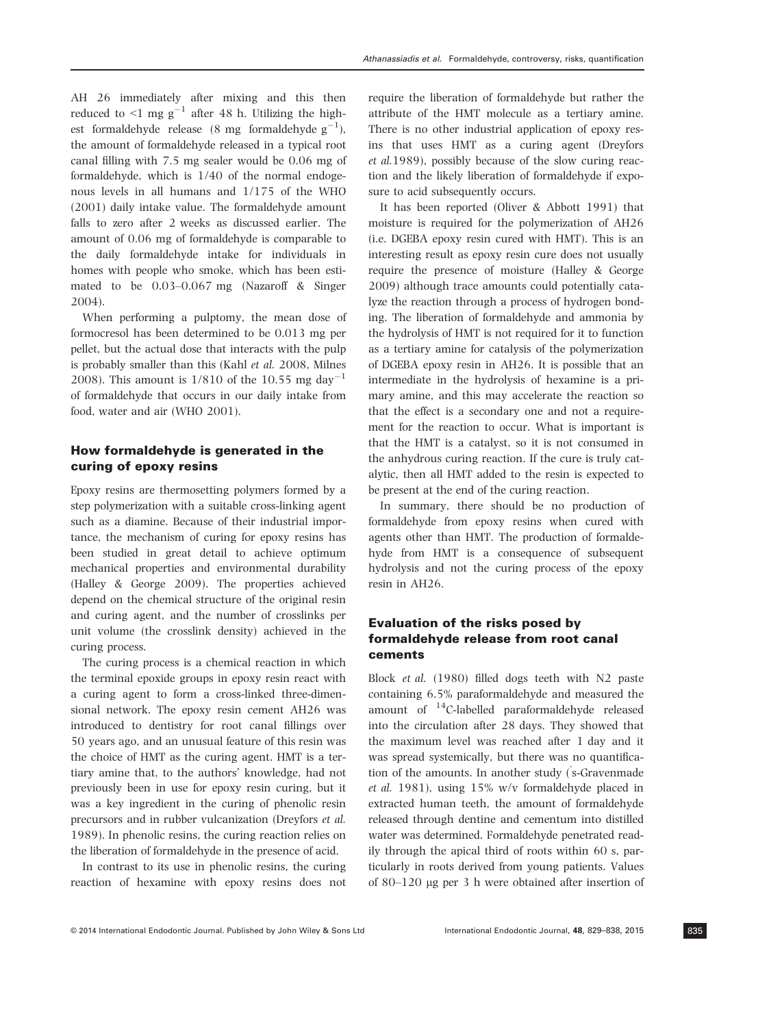AH 26 immediately after mixing and this then reduced to  $\leq 1$  mg g<sup>-1</sup> after 48 h. Utilizing the highest formaldehyde release (8 mg formaldehyde  $g^{-1}$ ), the amount of formaldehyde released in a typical root canal filling with 7.5 mg sealer would be 0.06 mg of formaldehyde, which is 1/40 of the normal endogenous levels in all humans and 1/175 of the WHO (2001) daily intake value. The formaldehyde amount falls to zero after 2 weeks as discussed earlier. The amount of 0.06 mg of formaldehyde is comparable to the daily formaldehyde intake for individuals in homes with people who smoke, which has been estimated to be 0.03–0.067 mg (Nazaroff & Singer 2004).

When performing a pulptomy, the mean dose of formocresol has been determined to be 0.013 mg per pellet, but the actual dose that interacts with the pulp is probably smaller than this (Kahl et al. 2008, Milnes 2008). This amount is  $1/810$  of the 10.55 mg day<sup>-1</sup> of formaldehyde that occurs in our daily intake from food, water and air (WHO 2001).

### How formaldehyde is generated in the curing of epoxy resins

Epoxy resins are thermosetting polymers formed by a step polymerization with a suitable cross-linking agent such as a diamine. Because of their industrial importance, the mechanism of curing for epoxy resins has been studied in great detail to achieve optimum mechanical properties and environmental durability (Halley & George 2009). The properties achieved depend on the chemical structure of the original resin and curing agent, and the number of crosslinks per unit volume (the crosslink density) achieved in the curing process.

The curing process is a chemical reaction in which the terminal epoxide groups in epoxy resin react with a curing agent to form a cross-linked three-dimensional network. The epoxy resin cement AH26 was introduced to dentistry for root canal fillings over 50 years ago, and an unusual feature of this resin was the choice of HMT as the curing agent. HMT is a tertiary amine that, to the authors' knowledge, had not previously been in use for epoxy resin curing, but it was a key ingredient in the curing of phenolic resin precursors and in rubber vulcanization (Dreyfors et al. 1989). In phenolic resins, the curing reaction relies on the liberation of formaldehyde in the presence of acid.

In contrast to its use in phenolic resins, the curing reaction of hexamine with epoxy resins does not require the liberation of formaldehyde but rather the attribute of the HMT molecule as a tertiary amine. There is no other industrial application of epoxy resins that uses HMT as a curing agent (Dreyfors et al.1989), possibly because of the slow curing reaction and the likely liberation of formaldehyde if exposure to acid subsequently occurs.

It has been reported (Oliver & Abbott 1991) that moisture is required for the polymerization of AH26 (i.e. DGEBA epoxy resin cured with HMT). This is an interesting result as epoxy resin cure does not usually require the presence of moisture (Halley & George 2009) although trace amounts could potentially catalyze the reaction through a process of hydrogen bonding. The liberation of formaldehyde and ammonia by the hydrolysis of HMT is not required for it to function as a tertiary amine for catalysis of the polymerization of DGEBA epoxy resin in AH26. It is possible that an intermediate in the hydrolysis of hexamine is a primary amine, and this may accelerate the reaction so that the effect is a secondary one and not a requirement for the reaction to occur. What is important is that the HMT is a catalyst, so it is not consumed in the anhydrous curing reaction. If the cure is truly catalytic, then all HMT added to the resin is expected to be present at the end of the curing reaction.

In summary, there should be no production of formaldehyde from epoxy resins when cured with agents other than HMT. The production of formaldehyde from HMT is a consequence of subsequent hydrolysis and not the curing process of the epoxy resin in AH26.

## Evaluation of the risks posed by formaldehyde release from root canal cements

Block et al. (1980) filled dogs teeth with N2 paste containing 6.5% paraformaldehyde and measured the amount of 14C-labelled paraformaldehyde released into the circulation after 28 days. They showed that the maximum level was reached after 1 day and it was spread systemically, but there was no quantification of the amounts. In another study (' s-Gravenmade et al. 1981), using 15% w/v formaldehyde placed in extracted human teeth, the amount of formaldehyde released through dentine and cementum into distilled water was determined. Formaldehyde penetrated readily through the apical third of roots within 60 s, particularly in roots derived from young patients. Values of 80–120 lg per 3 h were obtained after insertion of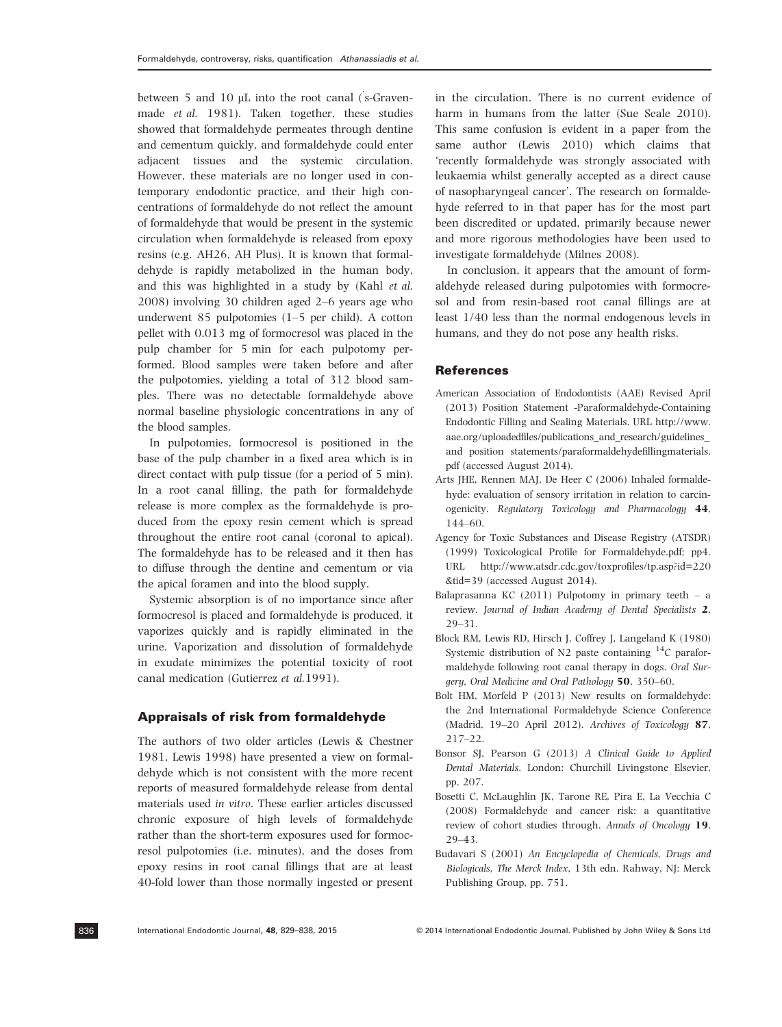between 5 and 10 µL into the root canal (s-Gravenmade et al. 1981). Taken together, these studies showed that formaldehyde permeates through dentine and cementum quickly, and formaldehyde could enter adjacent tissues and the systemic circulation. However, these materials are no longer used in contemporary endodontic practice, and their high concentrations of formaldehyde do not reflect the amount of formaldehyde that would be present in the systemic circulation when formaldehyde is released from epoxy resins (e.g. AH26, AH Plus). It is known that formaldehyde is rapidly metabolized in the human body, and this was highlighted in a study by (Kahl et al. 2008) involving 30 children aged 2–6 years age who underwent 85 pulpotomies (1–5 per child). A cotton pellet with 0.013 mg of formocresol was placed in the pulp chamber for 5 min for each pulpotomy performed. Blood samples were taken before and after the pulpotomies, yielding a total of 312 blood samples. There was no detectable formaldehyde above normal baseline physiologic concentrations in any of the blood samples.

In pulpotomies, formocresol is positioned in the base of the pulp chamber in a fixed area which is in direct contact with pulp tissue (for a period of 5 min). In a root canal filling, the path for formaldehyde release is more complex as the formaldehyde is produced from the epoxy resin cement which is spread throughout the entire root canal (coronal to apical). The formaldehyde has to be released and it then has to diffuse through the dentine and cementum or via the apical foramen and into the blood supply.

Systemic absorption is of no importance since after formocresol is placed and formaldehyde is produced, it vaporizes quickly and is rapidly eliminated in the urine. Vaporization and dissolution of formaldehyde in exudate minimizes the potential toxicity of root canal medication (Gutierrez et al.1991).

#### Appraisals of risk from formaldehyde

The authors of two older articles (Lewis & Chestner 1981, Lewis 1998) have presented a view on formaldehyde which is not consistent with the more recent reports of measured formaldehyde release from dental materials used in vitro. These earlier articles discussed chronic exposure of high levels of formaldehyde rather than the short-term exposures used for formocresol pulpotomies (i.e. minutes), and the doses from epoxy resins in root canal fillings that are at least 40-fold lower than those normally ingested or present in the circulation. There is no current evidence of harm in humans from the latter (Sue Seale 2010). This same confusion is evident in a paper from the same author (Lewis 2010) which claims that 'recently formaldehyde was strongly associated with leukaemia whilst generally accepted as a direct cause of nasopharyngeal cancer'. The research on formaldehyde referred to in that paper has for the most part been discredited or updated, primarily because newer and more rigorous methodologies have been used to investigate formaldehyde (Milnes 2008).

In conclusion, it appears that the amount of formaldehyde released during pulpotomies with formocresol and from resin-based root canal fillings are at least 1/40 less than the normal endogenous levels in humans, and they do not pose any health risks.

#### **References**

- American Association of Endodontists (AAE) Revised April (2013) Position Statement -Paraformaldehyde-Containing Endodontic Filling and Sealing Materials. URL http://www. aae.org/uploadedfiles/publications\_and\_research/guidelines\_ and position statements/paraformaldehydefillingmaterials. pdf (accessed August 2014).
- Arts JHE, Rennen MAJ, De Heer C (2006) Inhaled formaldehyde: evaluation of sensory irritation in relation to carcinogenicity. Regulatory Toxicology and Pharmacology 44, 144–60.
- Agency for Toxic Substances and Disease Registry (ATSDR) (1999) Toxicological Profile for Formaldehyde.pdf; pp4. URL http://www.atsdr.cdc.gov/toxprofiles/tp.asp?id=220 &tid=39 (accessed August 2014).
- Balaprasanna KC  $(2011)$  Pulpotomy in primary teeth a review. Journal of Indian Academy of Dental Specialists 2, 29–31.
- Block RM, Lewis RD, Hirsch J, Coffrey J, Langeland K (1980) Systemic distribution of N2 paste containing 14C paraformaldehyde following root canal therapy in dogs. Oral Surgery, Oral Medicine and Oral Pathology 50, 350–60.
- Bolt HM, Morfeld P (2013) New results on formaldehyde: the 2nd International Formaldehyde Science Conference (Madrid, 19–20 April 2012). Archives of Toxicology 87, 217–22.
- Bonsor SJ, Pearson G (2013) A Clinical Guide to Applied Dental Materials. London: Churchill Livingstone Elsevier, pp. 207.
- Bosetti C, McLaughlin JK, Tarone RE, Pira E, La Vecchia C (2008) Formaldehyde and cancer risk: a quantitative review of cohort studies through. Annals of Oncology 19, 29–43.
- Budavari S (2001) An Encyclopedia of Chemicals, Drugs and Biologicals, The Merck Index, 13th edn. Rahway, NJ: Merck Publishing Group, pp. 751.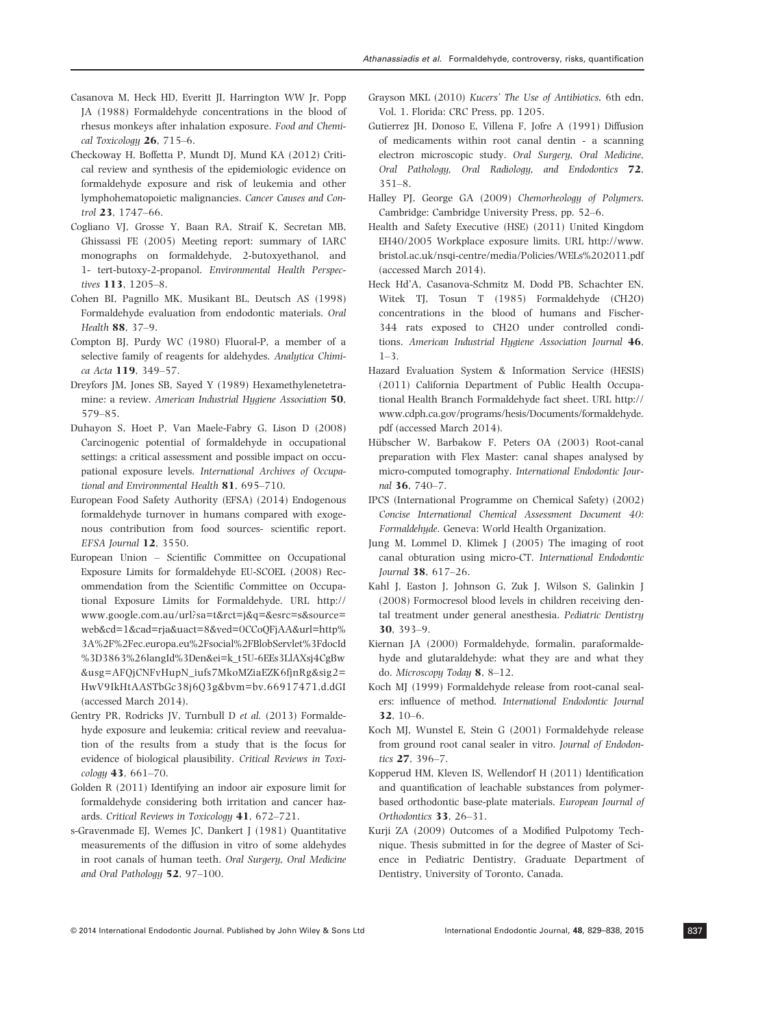- Casanova M, Heck HD, Everitt JI, Harrington WW Jr, Popp JA (1988) Formaldehyde concentrations in the blood of rhesus monkeys after inhalation exposure. Food and Chemical Toxicology  $26$ ,  $715-6$ .
- Checkoway H, Boffetta P, Mundt DJ, Mund KA (2012) Critical review and synthesis of the epidemiologic evidence on formaldehyde exposure and risk of leukemia and other lymphohematopoietic malignancies. Cancer Causes and Control 23, 1747–66.
- Cogliano VJ, Grosse Y, Baan RA, Straif K, Secretan MB, Ghissassi FE (2005) Meeting report: summary of IARC monographs on formaldehyde, 2-butoxyethanol, and 1- tert-butoxy-2-propanol. Environmental Health Perspectives 113, 1205–8.
- Cohen BI, Pagnillo MK, Musikant BL, Deutsch AS (1998) Formaldehyde evaluation from endodontic materials. Oral Health 88, 37–9.
- Compton BJ, Purdy WC (1980) Fluoral-P, a member of a selective family of reagents for aldehydes. Analytica Chimica Acta 119, 349–57.
- Dreyfors JM, Jones SB, Sayed Y (1989) Hexamethylenetetramine: a review. American Industrial Hygiene Association 50, 579–85.
- Duhayon S, Hoet P, Van Maele-Fabry G, Lison D (2008) Carcinogenic potential of formaldehyde in occupational settings: a critical assessment and possible impact on occupational exposure levels. International Archives of Occupational and Environmental Health 81, 695–710.
- European Food Safety Authority (EFSA) (2014) Endogenous formaldehyde turnover in humans compared with exogenous contribution from food sources- scientific report. EFSA Journal 12, 3550.
- European Union Scientific Committee on Occupational Exposure Limits for formaldehyde EU-SCOEL (2008) Recommendation from the Scientific Committee on Occupational Exposure Limits for Formaldehyde. URL http:// www.google.com.au/url?sa=t&rct=j&q=&esrc=s&source= web&cd=1&cad=rja&uact=8&ved=0CCoQFjAA&url=http% 3A%2F%2Fec.europa.eu%2Fsocial%2FBlobServlet%3FdocId %3D3863%26langId%3Den&ei=k\_t5U-6EEs3LlAXsj4CgBw &usg=AFQjCNFvHupN\_iufs7MkoMZiaEZK6fjnRg&sig2= HwV9IkHtAASTbGc38j6Q3g&bvm=bv.66917471,d.dGI (accessed March 2014).
- Gentry PR, Rodricks JV, Turnbull D et al. (2013) Formaldehyde exposure and leukemia: critical review and reevaluation of the results from a study that is the focus for evidence of biological plausibility. Critical Reviews in Toxicology 43, 661–70.
- Golden R (2011) Identifying an indoor air exposure limit for formaldehyde considering both irritation and cancer hazards. Critical Reviews in Toxicology 41, 672–721.
- s-Gravenmade EJ, Wemes JC, Dankert J (1981) Quantitative measurements of the diffusion in vitro of some aldehydes in root canals of human teeth. Oral Surgery, Oral Medicine and Oral Pathology 52, 97–100.
- Grayson MKL (2010) Kucers' The Use of Antibiotics, 6th edn, Vol. 1. Florida: CRC Press, pp. 1205.
- Gutierrez JH, Donoso E, Villena F, Jofre A (1991) Diffusion of medicaments within root canal dentin - a scanning electron microscopic study. Oral Surgery, Oral Medicine, Oral Pathology, Oral Radiology, and Endodontics 72, 351–8.
- Halley PJ, George GA (2009) Chemorheology of Polymers. Cambridge: Cambridge University Press, pp. 52–6.
- Health and Safety Executive (HSE) (2011) United Kingdom EH40/2005 Workplace exposure limits. URL http://www. bristol.ac.uk/nsqi-centre/media/Policies/WELs%202011.pdf (accessed March 2014).
- Heck Hd'A, Casanova-Schmitz M, Dodd PB, Schachter EN, Witek TJ, Tosun T (1985) Formaldehyde (CH2O) concentrations in the blood of humans and Fischer-344 rats exposed to CH2O under controlled conditions. American Industrial Hygiene Association Journal 46, 1–3.
- Hazard Evaluation System & Information Service (HESIS) (2011) California Department of Public Health Occupational Health Branch Formaldehyde fact sheet. URL http:// www.cdph.ca.gov/programs/hesis/Documents/formaldehyde. pdf (accessed March 2014).
- Hübscher W, Barbakow F, Peters OA (2003) Root-canal preparation with Flex Master: canal shapes analysed by micro-computed tomography. International Endodontic Journal 36, 740–7.
- IPCS (International Programme on Chemical Safety) (2002) Concise International Chemical Assessment Document 40: Formaldehyde. Geneva: World Health Organization.
- Jung M, Lommel D, Klimek J (2005) The imaging of root canal obturation using micro-CT. International Endodontic Journal 38, 617–26.
- Kahl J, Easton J, Johnson G, Zuk J, Wilson S, Galinkin J (2008) Formocresol blood levels in children receiving dental treatment under general anesthesia. Pediatric Dentistry 30, 393–9.
- Kiernan JA (2000) Formaldehyde, formalin, paraformaldehyde and glutaraldehyde: what they are and what they do. Microscopy Today 8, 8–12.
- Koch MJ (1999) Formaldehyde release from root-canal sealers: influence of method. International Endodontic Journal 32, 10–6.
- Koch MJ, Wunstel E, Stein G (2001) Formaldehyde release from ground root canal sealer in vitro. Journal of Endodontics 27, 396–7.
- Kopperud HM, Kleven IS, Wellendorf H (2011) Identification and quantification of leachable substances from polymerbased orthodontic base-plate materials. European Journal of Orthodontics 33, 26–31.
- Kurji ZA (2009) Outcomes of a Modified Pulpotomy Technique. Thesis submitted in for the degree of Master of Science in Pediatric Dentistry, Graduate Department of Dentistry, University of Toronto, Canada.